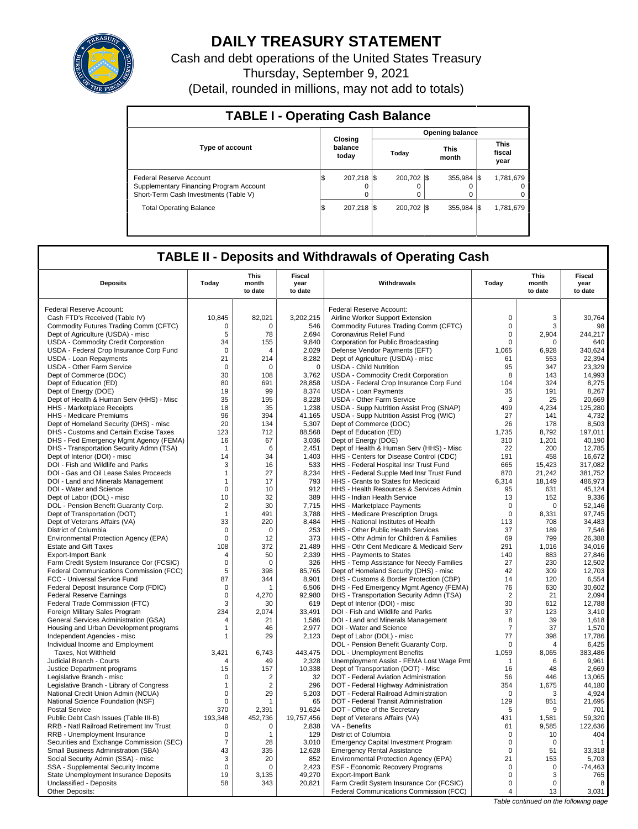

# **DAILY TREASURY STATEMENT**

Cash and debt operations of the United States Treasury Thursday, September 9, 2021 (Detail, rounded in millions, may not add to totals)

| <b>TABLE I - Operating Cash Balance</b>                                                                     |     |                             |  |                         |  |                       |  |                               |  |
|-------------------------------------------------------------------------------------------------------------|-----|-----------------------------|--|-------------------------|--|-----------------------|--|-------------------------------|--|
|                                                                                                             |     |                             |  |                         |  | Opening balance       |  |                               |  |
| <b>Type of account</b>                                                                                      |     | Closing<br>balance<br>today |  | Today                   |  | <b>This</b><br>month  |  | <b>This</b><br>fiscal<br>year |  |
| Federal Reserve Account<br>Supplementary Financing Program Account<br>Short-Term Cash Investments (Table V) | l\$ | 207.218 \\$<br>$\Omega$     |  | 200.702 \\$<br>$\Omega$ |  | 355.984 \\$<br>O<br>0 |  | 1.781.679<br>0                |  |
| <b>Total Operating Balance</b>                                                                              | 1\$ | 207.218 \\$                 |  | 200.702 \\$             |  | 355.984 \$            |  | 1,781,679                     |  |

## **TABLE II - Deposits and Withdrawals of Operating Cash**

| <b>Deposits</b>                          | Today          | <b>This</b><br>month<br>to date | <b>Fiscal</b><br>year<br>to date | Withdrawals                                 | Today          | <b>This</b><br>month<br>to date | Fiscal<br>year<br>to date |
|------------------------------------------|----------------|---------------------------------|----------------------------------|---------------------------------------------|----------------|---------------------------------|---------------------------|
| Federal Reserve Account:                 |                |                                 |                                  | <b>Federal Reserve Account:</b>             |                |                                 |                           |
| Cash FTD's Received (Table IV)           | 10.845         | 82,021                          | 3,202,215                        | Airline Worker Support Extension            | $\mathbf 0$    | 3                               | 30.764                    |
| Commodity Futures Trading Comm (CFTC)    | $\Omega$       | $\Omega$                        | 546                              | Commodity Futures Trading Comm (CFTC)       | $\mathbf 0$    | 3                               | 98                        |
| Dept of Agriculture (USDA) - misc        | 5              | 78                              | 2,694                            | Coronavirus Relief Fund                     | 0              | 2,904                           | 244,217                   |
| USDA - Commodity Credit Corporation      | 34             | 155                             | 9,840                            | Corporation for Public Broadcasting         | $\mathbf 0$    | $\Omega$                        | 640                       |
| USDA - Federal Crop Insurance Corp Fund  | $\mathbf 0$    | $\overline{4}$                  | 2.029                            | Defense Vendor Payments (EFT)               | 1.065          | 6.928                           | 340.624                   |
| USDA - Loan Repayments                   | 21             | 214                             | 8,282                            | Dept of Agriculture (USDA) - misc           | 61             | 553                             | 22,394                    |
| <b>USDA - Other Farm Service</b>         | $\Omega$       | $\Omega$                        | $\mathbf 0$                      | <b>USDA - Child Nutrition</b>               | 95             | 347                             | 23.329                    |
| Dept of Commerce (DOC)                   | 30             | 108                             | 3,762                            | <b>USDA - Commodity Credit Corporation</b>  | 8              | 143                             | 14,993                    |
| Dept of Education (ED)                   | 80             | 691                             | 28,858                           | USDA - Federal Crop Insurance Corp Fund     | 104            | 324                             | 8,275                     |
| Dept of Energy (DOE)                     | 19             | 99                              | 8,374                            | <b>USDA - Loan Payments</b>                 | 35             | 191                             | 8,267                     |
| Dept of Health & Human Serv (HHS) - Misc | 35             | 195                             | 8,228                            | <b>USDA - Other Farm Service</b>            | 3              | 25                              | 20,669                    |
| HHS - Marketplace Receipts               | 18             | 35                              | 1,238                            | USDA - Supp Nutrition Assist Prog (SNAP)    | 499            | 4,234                           | 125,280                   |
| HHS - Medicare Premiums                  | 96             | 394                             | 41,165                           | USDA - Supp Nutrition Assist Prog (WIC)     | 27             | 141                             | 4.732                     |
| Dept of Homeland Security (DHS) - misc   | 20             | 134                             | 5,307                            | Dept of Commerce (DOC)                      | 26             | 178                             | 8,503                     |
| DHS - Customs and Certain Excise Taxes   | 123            | 712                             | 88,568                           | Dept of Education (ED)                      | 1,735          | 8,792                           | 197,011                   |
| DHS - Fed Emergency Mgmt Agency (FEMA)   | 16             | 67                              | 3,036                            | Dept of Energy (DOE)                        | 310            | 1,201                           | 40,190                    |
| DHS - Transportation Security Admn (TSA) | $\mathbf 1$    | 6                               | 2.451                            | Dept of Health & Human Serv (HHS) - Misc    | 22             | 200                             | 12.785                    |
| Dept of Interior (DOI) - misc            | 14             | 34                              | 1,403                            | HHS - Centers for Disease Control (CDC)     | 191            | 458                             | 16,672                    |
| DOI - Fish and Wildlife and Parks        | 3              | 16                              | 533                              | HHS - Federal Hospital Insr Trust Fund      | 665            | 15.423                          | 317,082                   |
| DOI - Gas and Oil Lease Sales Proceeds   | $\mathbf{1}$   | 27                              | 8,234                            | HHS - Federal Supple Med Insr Trust Fund    | 870            | 21,242                          | 381,752                   |
| DOI - Land and Minerals Management       | $\mathbf{1}$   | 17                              | 793                              | HHS - Grants to States for Medicaid         | 6,314          | 18.149                          | 486.973                   |
| DOI - Water and Science                  | $\mathbf 0$    | 10                              | 912                              | HHS - Health Resources & Services Admin     | 95             | 631                             | 45,124                    |
| Dept of Labor (DOL) - misc               | 10             | 32                              | 389                              | HHS - Indian Health Service                 | 13             | 152                             | 9,336                     |
| DOL - Pension Benefit Guaranty Corp.     | $\overline{2}$ | 30                              | 7,715                            | HHS - Marketplace Payments                  | 0              | $\mathbf 0$                     | 52,146                    |
| Dept of Transportation (DOT)             | $\mathbf{1}$   | 491                             | 3,788                            | HHS - Medicare Prescription Drugs           | $\mathbf 0$    | 8,331                           | 97,745                    |
| Dept of Veterans Affairs (VA)            | 33             | 220                             | 8,484                            | HHS - National Institutes of Health         | 113            | 708                             | 34,483                    |
| District of Columbia                     | 0              | $\mathbf 0$                     | 253                              | HHS - Other Public Health Services          | 37             | 189                             | 7,546                     |
| Environmental Protection Agency (EPA)    | $\mathbf 0$    | 12                              | 373                              | HHS - Othr Admin for Children & Families    | 69             | 799                             | 26,388                    |
| <b>Estate and Gift Taxes</b>             | 108            | 372                             | 21,489                           | HHS - Othr Cent Medicare & Medicaid Serv    | 291            | 1,016                           | 34,016                    |
| <b>Export-Import Bank</b>                | $\overline{4}$ | 50                              | 2,339                            | HHS - Payments to States                    | 140            | 883                             | 27,846                    |
| Farm Credit System Insurance Cor (FCSIC) | $\mathbf 0$    | $\Omega$                        | 326                              | HHS - Temp Assistance for Needy Families    | 27             | 230                             | 12,502                    |
| Federal Communications Commission (FCC)  | 5              | 398                             | 85,765                           | Dept of Homeland Security (DHS) - misc      | 42             | 309                             | 12,703                    |
| FCC - Universal Service Fund             | 87             | 344                             | 8,901                            | DHS - Customs & Border Protection (CBP)     | 14             | 120                             | 6,554                     |
| Federal Deposit Insurance Corp (FDIC)    | $\mathbf 0$    | 1                               | 6,506                            | DHS - Fed Emergency Mgmt Agency (FEMA)      | 76             | 630                             | 30,602                    |
| <b>Federal Reserve Earnings</b>          | $\mathbf 0$    | 4,270                           | 92,980                           | DHS - Transportation Security Admn (TSA)    | $\overline{2}$ | 21                              | 2,094                     |
| Federal Trade Commission (FTC)           | 3              | 30                              | 619                              | Dept of Interior (DOI) - misc               | 30             | 612                             | 12,788                    |
| Foreign Military Sales Program           | 234            | 2,074                           | 33,491                           | DOI - Fish and Wildlife and Parks           | 37             | 123                             | 3,410                     |
| General Services Administration (GSA)    | $\overline{4}$ | 21                              | 1,586                            | DOI - Land and Minerals Management          | 8              | 39                              | 1,618                     |
| Housing and Urban Development programs   | $\mathbf{1}$   | 46                              | 2,977                            | DOI - Water and Science                     | $\overline{7}$ | 37                              | 1,570                     |
| Independent Agencies - misc              | 1              | 29                              | 2.123                            | Dept of Labor (DOL) - misc                  | 77             | 398                             | 17.786                    |
| Individual Income and Employment         |                |                                 |                                  | DOL - Pension Benefit Guaranty Corp.        | $\mathbf 0$    | 4                               | 6,425                     |
| Taxes, Not Withheld                      | 3.421          | 6.743                           | 443,475                          | DOL - Unemployment Benefits                 | 1,059          | 8,065                           | 383.486                   |
| Judicial Branch - Courts                 | $\overline{4}$ | 49                              | 2,328                            | Unemployment Assist - FEMA Lost Wage Pmt    | $\mathbf{1}$   | 6                               | 9.961                     |
| Justice Department programs              | 15             | 157                             | 10,338                           | Dept of Transportation (DOT) - Misc         | 16             | 48                              | 2,669                     |
| Legislative Branch - misc                | $\mathbf 0$    | $\overline{2}$                  | 32                               | DOT - Federal Aviation Administration       | 56             | 446                             | 13,065                    |
| Legislative Branch - Library of Congress | $\mathbf 1$    | $\overline{2}$                  | 296                              | DOT - Federal Highway Administration        | 354            | 1,675                           | 44,180                    |
| National Credit Union Admin (NCUA)       | $\mathbf 0$    | 29                              | 5,203                            | DOT - Federal Railroad Administration       | $\Omega$       | 3                               | 4,924                     |
| National Science Foundation (NSF)        | 0              | 1                               | 65                               | DOT - Federal Transit Administration        | 129            | 851                             | 21.695                    |
| <b>Postal Service</b>                    | 370            | 2,391                           | 91,624                           | DOT - Office of the Secretary               | 5              | 9                               | 701                       |
| Public Debt Cash Issues (Table III-B)    | 193,348        | 452,736                         | 19,757,456                       | Dept of Veterans Affairs (VA)               | 431            | 1,581                           | 59.320                    |
| RRB - Natl Railroad Retirement Inv Trust | $\mathbf 0$    | 0                               | 2,838                            | VA - Benefits                               | 61             | 9,585                           | 122,636                   |
| RRB - Unemployment Insurance             | 0              | $\mathbf{1}$                    | 129                              | District of Columbia                        | $\mathbf 0$    | 10                              | 404                       |
| Securities and Exchange Commission (SEC) | $\overline{7}$ | 28                              | 3,010                            | <b>Emergency Capital Investment Program</b> | $\mathbf 0$    | $\mathbf 0$                     | $\overline{1}$            |
| Small Business Administration (SBA)      | 43             | 335                             | 12,628                           | <b>Emergency Rental Assistance</b>          | $\Omega$       | 51                              | 33.318                    |
| Social Security Admin (SSA) - misc       | 3              | 20                              | 852                              | Environmental Protection Agency (EPA)       | 21             | 153                             | 5,703                     |
| SSA - Supplemental Security Income       | $\mathbf 0$    | $\Omega$                        | 2,423                            | <b>ESF - Economic Recovery Programs</b>     | $\mathbf 0$    | $\mathbf 0$                     | $-74,463$                 |
| State Unemployment Insurance Deposits    | 19             | 3,135                           | 49,270                           | <b>Export-Import Bank</b>                   | $\mathbf 0$    | 3                               | 765                       |
| Unclassified - Deposits                  | 58             | 343                             | 20,821                           | Farm Credit System Insurance Cor (FCSIC)    | $\mathbf 0$    | $\Omega$                        | 8                         |
| Other Deposits:                          |                |                                 |                                  | Federal Communications Commission (FCC)     | 4              | 13                              | 3,031                     |
|                                          |                |                                 |                                  |                                             |                |                                 |                           |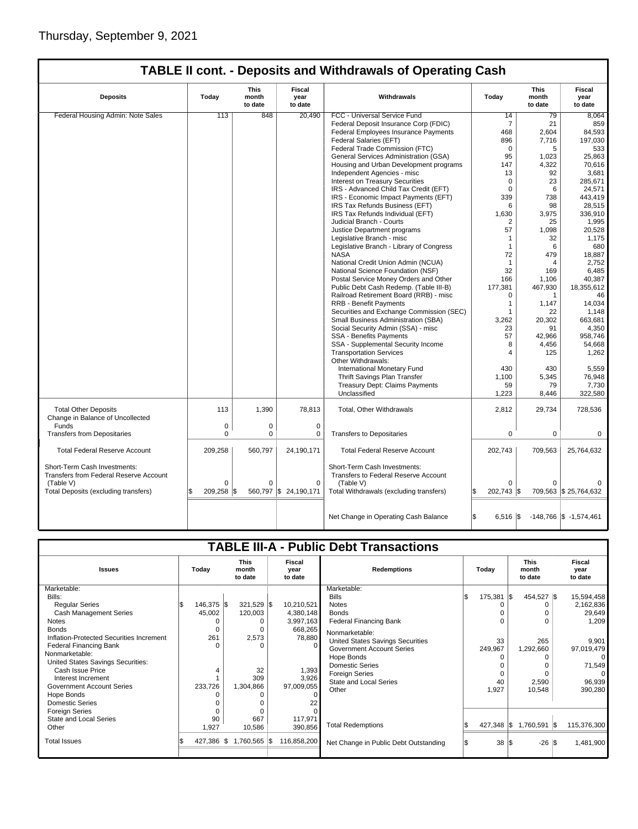| <b>Deposits</b>                                                        | Today    | This<br>month<br>to date | Fiscal<br>year<br>to date | Withdrawals                                                          | Today                        | This<br>month<br>to date | Fiscal<br>year<br>to date   |
|------------------------------------------------------------------------|----------|--------------------------|---------------------------|----------------------------------------------------------------------|------------------------------|--------------------------|-----------------------------|
| Federal Housing Admin: Note Sales                                      | 113      | 848                      | 20,490                    | FCC - Universal Service Fund                                         | 14                           | 79                       | 8.064                       |
|                                                                        |          |                          |                           | Federal Deposit Insurance Corp (FDIC)                                | $\overline{7}$               | 21                       | 859                         |
|                                                                        |          |                          |                           | Federal Employees Insurance Payments                                 | 468                          | 2,604                    | 84,593                      |
|                                                                        |          |                          |                           | Federal Salaries (EFT)                                               | 896                          | 7,716                    | 197,030                     |
|                                                                        |          |                          |                           | Federal Trade Commission (FTC)                                       | $\mathbf 0$                  | 5                        | 533                         |
|                                                                        |          |                          |                           | General Services Administration (GSA)                                | 95                           | 1,023                    | 25,863                      |
|                                                                        |          |                          |                           | Housing and Urban Development programs                               | 147                          | 4,322                    | 70,616                      |
|                                                                        |          |                          |                           | Independent Agencies - misc                                          | 13                           | 92                       | 3,681                       |
|                                                                        |          |                          |                           | Interest on Treasury Securities                                      | $\Omega$                     | 23                       | 285,671                     |
|                                                                        |          |                          |                           | IRS - Advanced Child Tax Credit (EFT)                                | $\Omega$                     | 6                        | 24,571                      |
|                                                                        |          |                          |                           | IRS - Economic Impact Payments (EFT)                                 | 339                          | 738                      | 443,419                     |
|                                                                        |          |                          |                           | IRS Tax Refunds Business (EFT)                                       | 6                            | 98                       | 28,515                      |
|                                                                        |          |                          |                           | IRS Tax Refunds Individual (EFT)                                     | 1,630                        | 3,975                    | 336,910                     |
|                                                                        |          |                          |                           | Judicial Branch - Courts                                             | 2                            | 25                       | 1,995                       |
|                                                                        |          |                          |                           | Justice Department programs                                          | 57                           | 1,098                    | 20,528                      |
|                                                                        |          |                          |                           | Legislative Branch - misc                                            | 1                            | 32                       | 1.175                       |
|                                                                        |          |                          |                           | Legislative Branch - Library of Congress                             | $\mathbf{1}$                 | 6                        | 680                         |
|                                                                        |          |                          |                           | <b>NASA</b>                                                          | 72                           | 479                      | 18,887                      |
|                                                                        |          |                          |                           | National Credit Union Admin (NCUA)                                   | $\mathbf{1}$                 | 4                        | 2,752                       |
|                                                                        |          |                          |                           | National Science Foundation (NSF)                                    | 32                           | 169                      | 6,485                       |
|                                                                        |          |                          |                           | Postal Service Money Orders and Other                                | 166                          | 1,106                    | 40,387                      |
|                                                                        |          |                          |                           | Public Debt Cash Redemp. (Table III-B)                               | 177,381                      | 467,930                  | 18,355,612                  |
|                                                                        |          |                          |                           | Railroad Retirement Board (RRB) - misc                               | $\Omega$                     | 1                        | 46                          |
|                                                                        |          |                          |                           | <b>RRB - Benefit Payments</b>                                        | $\mathbf{1}$                 | 1.147                    | 14.034                      |
|                                                                        |          |                          |                           | Securities and Exchange Commission (SEC)                             | $\mathbf{1}$                 | 22                       | 1,148                       |
|                                                                        |          |                          |                           | Small Business Administration (SBA)                                  | 3,262                        | 20,302                   | 663,681                     |
|                                                                        |          |                          |                           | Social Security Admin (SSA) - misc                                   | 23                           | 91                       | 4,350                       |
|                                                                        |          |                          |                           | <b>SSA - Benefits Payments</b>                                       | 57                           | 42,966                   | 958,746                     |
|                                                                        |          |                          |                           | SSA - Supplemental Security Income                                   | 8                            | 4,456                    | 54,668                      |
|                                                                        |          |                          |                           | <b>Transportation Services</b>                                       | 4                            | 125                      | 1,262                       |
|                                                                        |          |                          |                           | Other Withdrawals:                                                   |                              |                          |                             |
|                                                                        |          |                          |                           | International Monetary Fund                                          | 430                          | 430                      | 5,559                       |
|                                                                        |          |                          |                           | Thrift Savings Plan Transfer                                         | 1,100                        | 5,345                    | 76,948                      |
|                                                                        |          |                          |                           | <b>Treasury Dept: Claims Payments</b>                                | 59                           | 79                       | 7,730                       |
|                                                                        |          |                          |                           | Unclassified                                                         | 1,223                        | 8,446                    | 322,580                     |
| <b>Total Other Deposits</b>                                            | 113      | 1.390                    | 78,813                    | Total, Other Withdrawals                                             | 2,812                        | 29,734                   | 728,536                     |
| Change in Balance of Uncollected                                       |          |                          |                           |                                                                      |                              |                          |                             |
| Funds                                                                  | 0        | 0                        | $\mathbf 0$               |                                                                      |                              |                          |                             |
| <b>Transfers from Depositaries</b>                                     | 0        | 0                        | 0                         | <b>Transfers to Depositaries</b>                                     | 0                            | 0                        | 0                           |
| <b>Total Federal Reserve Account</b>                                   | 209,258  | 560,797                  | 24,190,171                | <b>Total Federal Reserve Account</b>                                 | 202,743                      | 709,563                  | 25,764,632                  |
| Short-Term Cash Investments:<br>Transfers from Federal Reserve Account |          |                          |                           | Short-Term Cash Investments:<br>Transfers to Federal Reserve Account |                              |                          |                             |
| (Table V)                                                              | $\Omega$ | 0                        | $\mathbf 0$               | (Table V)                                                            | $\Omega$                     |                          |                             |
| Total Deposits (excluding transfers)                                   | 209,258  | I\$                      | 560,797 \$24,190,171      | Total Withdrawals (excluding transfers)                              | 202,743 \$<br>l\$            |                          | 709,563 \$ 25,764,632       |
|                                                                        |          |                          |                           | Net Change in Operating Cash Balance                                 | l\$<br>$6.516$ $\textsf{\%}$ |                          | $-148,766$ \\$ $-1,574,461$ |

| <b>TABLE III-A - Public Debt Transactions</b> |            |                                 |                                  |                                       |              |                         |                           |  |  |  |
|-----------------------------------------------|------------|---------------------------------|----------------------------------|---------------------------------------|--------------|-------------------------|---------------------------|--|--|--|
| <b>Issues</b>                                 | Today      | <b>This</b><br>month<br>to date | <b>Fiscal</b><br>year<br>to date | <b>Redemptions</b>                    | Today        |                         | Fiscal<br>year<br>to date |  |  |  |
| Marketable:                                   |            |                                 |                                  | Marketable:                           |              |                         |                           |  |  |  |
| Bills:                                        |            |                                 |                                  | <b>Bills</b>                          | $175,381$ \$ | 454,527 \$              | 15,594,458                |  |  |  |
| <b>Regular Series</b>                         | 146,375 \$ | 321,529 \$                      | 10,210,521                       | <b>Notes</b>                          |              |                         | 2,162,836                 |  |  |  |
| Cash Management Series                        | 45,002     | 120,003                         | 4,380,148                        | <b>Bonds</b>                          |              |                         | 29,649                    |  |  |  |
| Notes                                         |            |                                 | 3,997,163                        | <b>Federal Financing Bank</b>         |              |                         | 1,209                     |  |  |  |
| <b>Bonds</b>                                  | $\Omega$   |                                 | 668,265                          | Nonmarketable:                        |              |                         |                           |  |  |  |
| Inflation-Protected Securities Increment      | 261        | 2,573                           | 78,880                           | United States Savings Securities      | 33           | 265                     | 9,901                     |  |  |  |
| <b>Federal Financing Bank</b>                 | $\Omega$   |                                 |                                  | <b>Government Account Series</b>      | 249,967      | 1,292,660               | 97,019,479                |  |  |  |
| Nonmarketable:                                |            |                                 |                                  | Hope Bonds                            |              |                         | $\Omega$                  |  |  |  |
| United States Savings Securities:             |            |                                 |                                  | <b>Domestic Series</b>                |              |                         | 71,549                    |  |  |  |
| Cash Issue Price                              |            | 32                              | 1,393                            | <b>Foreign Series</b>                 |              |                         | $\Omega$                  |  |  |  |
| Interest Increment                            |            | 309                             | 3,926                            | <b>State and Local Series</b>         | 40           | 2,590                   | 96,939                    |  |  |  |
| <b>Government Account Series</b>              | 233,726    | 1,304,866                       | 97,009,055                       | Other                                 | 1,927        | 10,548                  | 390,280                   |  |  |  |
| Hope Bonds                                    |            |                                 |                                  |                                       |              |                         |                           |  |  |  |
| <b>Domestic Series</b>                        |            |                                 |                                  |                                       |              |                         |                           |  |  |  |
| Foreign Series                                |            |                                 |                                  |                                       |              |                         |                           |  |  |  |
| State and Local Series                        | 90         | 667                             | 117,971                          |                                       |              |                         |                           |  |  |  |
| Other                                         | 1,927      | 10,586                          | 390,856                          | <b>Total Redemptions</b>              | 427,348 \$   | 1,760,591 \$            | 115,376,300               |  |  |  |
| <b>Total Issues</b>                           | 427,386 \$ | 1,760,565 \$                    | 116,858,200                      | Net Change in Public Debt Outstanding | 38           | $-26$ $\sqrt{3}$<br>135 | 1,481,900                 |  |  |  |
|                                               |            |                                 |                                  |                                       |              |                         |                           |  |  |  |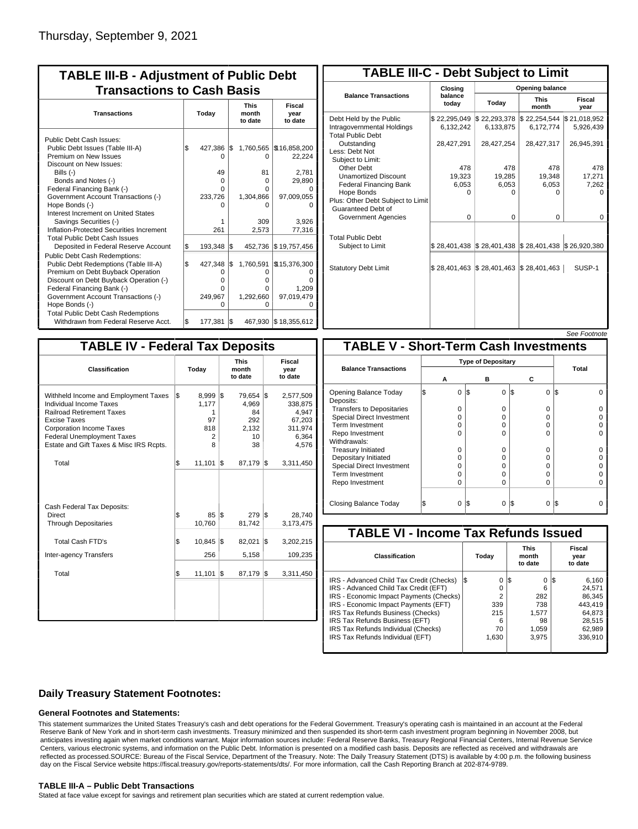| <b>TABLE III-B - Adjustment of Public Debt</b><br><b>Transactions to Cash Basis</b>                                                                                                                                                                                                                                                                                                                                                      |            |                                                           |            |                                                                                    |                                                                                            |                                 |                                  |  |
|------------------------------------------------------------------------------------------------------------------------------------------------------------------------------------------------------------------------------------------------------------------------------------------------------------------------------------------------------------------------------------------------------------------------------------------|------------|-----------------------------------------------------------|------------|------------------------------------------------------------------------------------|--------------------------------------------------------------------------------------------|---------------------------------|----------------------------------|--|
| <b>Transactions</b>                                                                                                                                                                                                                                                                                                                                                                                                                      | Today      |                                                           |            |                                                                                    |                                                                                            | <b>This</b><br>month<br>to date | <b>Fiscal</b><br>year<br>to date |  |
| Public Debt Cash Issues:<br>Public Debt Issues (Table III-A)<br>Premium on New Issues<br>Discount on New Issues:<br>Bills (-)<br>Bonds and Notes (-)<br>Federal Financing Bank (-)<br>Government Account Transactions (-)<br>Hope Bonds (-)<br>Interest Increment on United States<br>Savings Securities (-)<br>Inflation-Protected Securities Increment<br><b>Total Public Debt Cash Issues</b><br>Deposited in Federal Reserve Account | \$<br>S.   | 427,386<br>O<br>49<br>O<br>U<br>233,726<br>261<br>193,348 | 1\$<br>1\$ | 1,760,565<br>0<br>81<br>$\Omega$<br>O<br>1,304,866<br>O<br>309<br>2,573<br>452,736 | \$16,858,200<br>22,224<br>2,781<br>29,890<br>97,009,055<br>3,926<br>77,316<br>\$19,757,456 |                                 |                                  |  |
| <b>Public Debt Cash Redemptions:</b><br>Public Debt Redemptions (Table III-A)<br>Premium on Debt Buyback Operation<br>Discount on Debt Buyback Operation (-)<br>Federal Financing Bank (-)<br>Government Account Transactions (-)<br>Hope Bonds (-)<br><b>Total Public Debt Cash Redemptions</b><br>Withdrawn from Federal Reserve Acct.                                                                                                 | l\$<br>l\$ | 427,348<br>O<br>o<br>o<br>249,967<br>O<br>177,381         | l\$<br>l\$ | 1,760,591<br>O<br>0<br>0<br>1,292,660<br>O                                         | \$15,376,300<br>n<br>1.209<br>97,019,479<br>O<br>467,930 \$18,355,612                      |                                 |                                  |  |

| <b>TABLE III-C - Debt Subject to Limit</b>                                        |                           |                                            |                           |                           |  |  |  |  |  |
|-----------------------------------------------------------------------------------|---------------------------|--------------------------------------------|---------------------------|---------------------------|--|--|--|--|--|
|                                                                                   | Closing                   |                                            | Opening balance           |                           |  |  |  |  |  |
| <b>Balance Transactions</b>                                                       | balance<br>today          | Today                                      | <b>This</b><br>month      | Fiscal<br>year            |  |  |  |  |  |
| Debt Held by the Public<br>Intragovernmental Holdings<br><b>Total Public Debt</b> | \$22,295,049<br>6,132,242 | \$22,293,378<br>6,133,875                  | \$22,254,544<br>6,172,774 | \$21,018,952<br>5,926,439 |  |  |  |  |  |
| Outstanding<br>Less: Debt Not<br>Subiect to Limit:                                | 28,427,291                | 28,427,254                                 | 28,427,317                | 26,945,391                |  |  |  |  |  |
| Other Debt                                                                        | 478                       | 478                                        | 478                       | 478                       |  |  |  |  |  |
| <b>Unamortized Discount</b>                                                       | 19,323                    | 19,285                                     | 19,348                    | 17,271                    |  |  |  |  |  |
| <b>Federal Financing Bank</b>                                                     | 6,053                     | 6,053                                      | 6,053                     | 7,262                     |  |  |  |  |  |
| Hope Bonds                                                                        | U                         | O                                          | U                         | n                         |  |  |  |  |  |
| Plus: Other Debt Subject to Limit<br>Guaranteed Debt of                           |                           |                                            |                           |                           |  |  |  |  |  |
| Government Agencies                                                               | $\Omega$                  | $\Omega$                                   | $\Omega$                  | 0                         |  |  |  |  |  |
| <b>Total Public Debt</b><br>Subject to Limit                                      |                           | \$28,401,438   \$28,401,438   \$28,401,438 |                           | \$26,920,380              |  |  |  |  |  |
|                                                                                   |                           |                                            |                           |                           |  |  |  |  |  |
| <b>Statutory Debt Limit</b>                                                       | \$28,401,463              | \$28,401,463                               | \$28,401,463              | SUSP-1                    |  |  |  |  |  |
|                                                                                   |                           |                                            |                           |                           |  |  |  |  |  |

See Footnote

| <b>TABLE IV - Federal Tax Deposits</b>                                                                                                                                                                                                        |     |                                            |     |                                                      |     |                                                                      |  |  |
|-----------------------------------------------------------------------------------------------------------------------------------------------------------------------------------------------------------------------------------------------|-----|--------------------------------------------|-----|------------------------------------------------------|-----|----------------------------------------------------------------------|--|--|
| Classification                                                                                                                                                                                                                                |     | Today                                      |     | <b>This</b><br>month<br>to date                      |     | Fiscal<br>year<br>to date                                            |  |  |
| Withheld Income and Employment Taxes<br><b>Individual Income Taxes</b><br><b>Railroad Retirement Taxes</b><br>Excise Taxes<br><b>Corporation Income Taxes</b><br><b>Federal Unemployment Taxes</b><br>Estate and Gift Taxes & Misc IRS Rcpts. | \$  | 8,999<br>1,177<br>1<br>97<br>818<br>2<br>8 | 1\$ | 79,654 \$<br>4,969<br>84<br>292<br>2,132<br>10<br>38 |     | 2,577,509<br>338,875<br>4,947<br>67,203<br>311,974<br>6,364<br>4,576 |  |  |
| Total                                                                                                                                                                                                                                         | ß.  | 11.101                                     | 1\$ | 87.179                                               | l\$ | 3,311,450                                                            |  |  |
| Cash Federal Tax Deposits:<br>Direct<br><b>Through Depositaries</b>                                                                                                                                                                           | \$  | 85<br>10,760                               | l\$ | 279<br>81,742                                        | l\$ | 28,740<br>3,173,475                                                  |  |  |
| <b>Total Cash FTD's</b>                                                                                                                                                                                                                       | \$  | 10,845                                     | l\$ | 82,021                                               | 1\$ | 3,202,215                                                            |  |  |
| Inter-agency Transfers                                                                                                                                                                                                                        |     | 256                                        |     | 5,158                                                |     | 109,235                                                              |  |  |
| Total                                                                                                                                                                                                                                         | l\$ | 11,101                                     | l\$ | 87,179                                               | l\$ | 3,311,450                                                            |  |  |
|                                                                                                                                                                                                                                               |     |                                            |     |                                                      |     |                                                                      |  |  |

|                                              |                           |          |                 | טויט ויש |  |  |  |  |
|----------------------------------------------|---------------------------|----------|-----------------|----------|--|--|--|--|
| <b>TABLE V - Short-Term Cash Investments</b> |                           |          |                 |          |  |  |  |  |
|                                              | <b>Type of Depositary</b> |          |                 |          |  |  |  |  |
| <b>Balance Transactions</b>                  |                           |          |                 | Total    |  |  |  |  |
|                                              | А                         | в        | С               |          |  |  |  |  |
| Opening Balance Today<br>Deposits:           | 0                         | 0<br>I\$ | 1\$<br>$\Omega$ | I\$      |  |  |  |  |
| <b>Transfers to Depositaries</b>             | O                         | 0        | $\Omega$        |          |  |  |  |  |
| <b>Special Direct Investment</b>             | O                         | O        | 0               |          |  |  |  |  |
| <b>Term Investment</b>                       | 0                         | O        | 0               |          |  |  |  |  |
| Repo Investment                              | ი                         | O        | O               |          |  |  |  |  |
| Withdrawals:                                 |                           |          |                 |          |  |  |  |  |
| <b>Treasury Initiated</b>                    | O                         | 0        | 0               |          |  |  |  |  |
| Depositary Initiated                         | Ω                         | O        | 0               |          |  |  |  |  |
| <b>Special Direct Investment</b>             | Ω                         | O        | 0               |          |  |  |  |  |
| <b>Term Investment</b>                       | O                         | O        | O               |          |  |  |  |  |
| Repo Investment                              | 0                         | 0        | $\Omega$        |          |  |  |  |  |
|                                              |                           |          |                 |          |  |  |  |  |
| Closing Balance Today                        | 0                         | IS.<br>0 | S<br>0          | I\$      |  |  |  |  |

| <b>TABLE VI - Income Tax Refunds Issued</b> |                |                                 |                                  |  |  |  |  |  |  |
|---------------------------------------------|----------------|---------------------------------|----------------------------------|--|--|--|--|--|--|
| Classification                              | Today          | <b>This</b><br>month<br>to date | <b>Fiscal</b><br>year<br>to date |  |  |  |  |  |  |
| IRS - Advanced Child Tax Credit (Checks)    | 0<br>I\$       | 0<br>1\$                        | 6,160<br>13                      |  |  |  |  |  |  |
| IRS - Advanced Child Tax Credit (EFT)       | 0              | 6                               | 24.571                           |  |  |  |  |  |  |
| IRS - Economic Impact Payments (Checks)     | $\overline{2}$ | 282                             | 86.345                           |  |  |  |  |  |  |
| IRS - Economic Impact Payments (EFT)        | 339            | 738                             | 443.419                          |  |  |  |  |  |  |
| IRS Tax Refunds Business (Checks)           | 215            | 1.577                           | 64.873                           |  |  |  |  |  |  |
| IRS Tax Refunds Business (EFT)              | 6              | 98                              | 28.515                           |  |  |  |  |  |  |
| IRS Tax Refunds Individual (Checks)         | 70             | 1.059                           | 62.989                           |  |  |  |  |  |  |
| IRS Tax Refunds Individual (EFT)            | 1,630          | 3.975                           | 336,910                          |  |  |  |  |  |  |

### **Daily Treasury Statement Footnotes:**

#### **General Footnotes and Statements:**

This statement summarizes the United States Treasury's cash and debt operations for the Federal Government. Treasury's operating cash is maintained in an account at the Federal Reserve Bank of New York and in short-term cash investments. Treasury minimized and then suspended its short-term cash investment program beginning in November 2008, but anticipates investing again when market conditions warrant. Major information sources include: Federal Reserve Banks, Treasury Regional Financial Centers, Internal Revenue Service Centers, various electronic systems, and information on the Public Debt. Information is presented on a modified cash basis. Deposits are reflected as received and withdrawals are reflected as processed.SOURCE: Bureau of the Fiscal Service, Department of the Treasury. Note: The Daily Treasury Statement (DTS) is available by 4:00 p.m. the following business day on the Fiscal Service website https://fiscal.treasury.gov/reports-statements/dts/. For more information, call the Cash Reporting Branch at 202-874-9789.

#### **TABLE III-A – Public Debt Transactions**

Stated at face value except for savings and retirement plan securities which are stated at current redemption value.